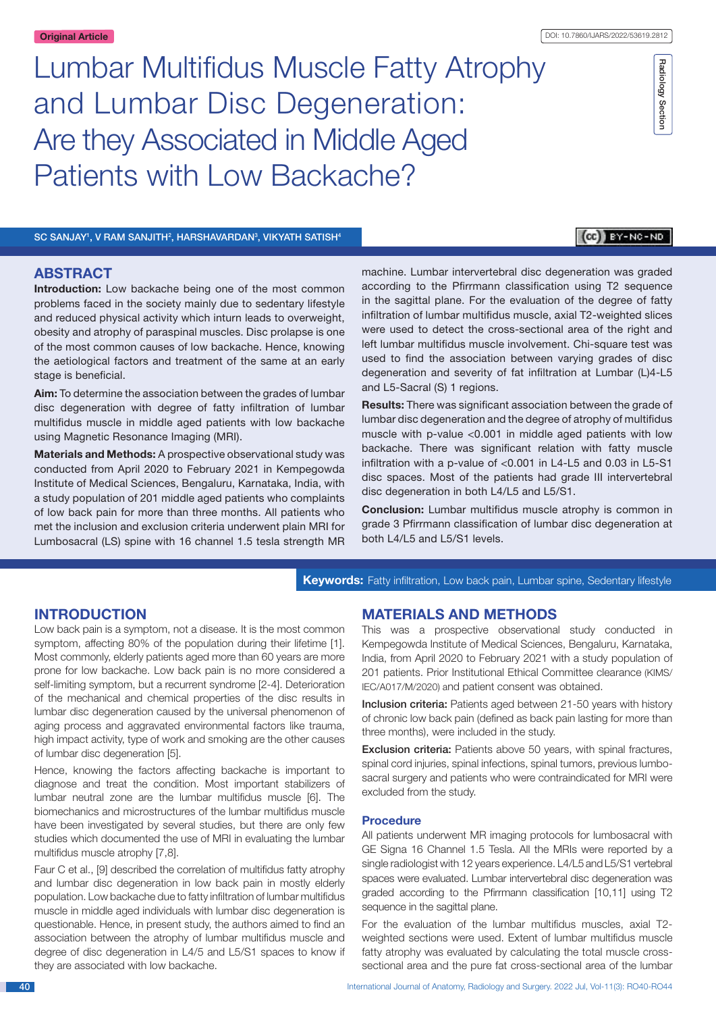# Lumbar Multifidus Muscle Fatty Atrophy and Lumbar Disc Degeneration: Are they Associated in Middle Aged Patients with Low Backache?

Radiology Section Radiology Section

SC SANJAY<sup>1</sup>, V RAM SANJITH<sup>2</sup>, HARSHAVARDAN<sup>3</sup>, VIKYATH SATISH<sup>4</sup>

# **CO** BY-NC-ND

# **ABSTRACT**

**Introduction:** Low backache being one of the most common problems faced in the society mainly due to sedentary lifestyle and reduced physical activity which inturn leads to overweight, obesity and atrophy of paraspinal muscles. Disc prolapse is one of the most common causes of low backache. Hence, knowing the aetiological factors and treatment of the same at an early stage is beneficial.

**Aim:** To determine the association between the grades of lumbar disc degeneration with degree of fatty infiltration of lumbar multifidus muscle in middle aged patients with low backache using Magnetic Resonance Imaging (MRI).

**Materials and Methods:** A prospective observational study was conducted from April 2020 to February 2021 in Kempegowda Institute of Medical Sciences, Bengaluru, Karnataka, India, with a study population of 201 middle aged patients who complaints of low back pain for more than three months. All patients who met the inclusion and exclusion criteria underwent plain MRI for Lumbosacral (LS) spine with 16 channel 1.5 tesla strength MR machine. Lumbar intervertebral disc degeneration was graded according to the Pfirrmann classification using T2 sequence in the sagittal plane. For the evaluation of the degree of fatty infiltration of lumbar multifidus muscle, axial T2-weighted slices were used to detect the cross-sectional area of the right and left lumbar multifidus muscle involvement. Chi-square test was used to find the association between varying grades of disc degeneration and severity of fat infiltration at Lumbar (L)4-L5 and L5-Sacral (S) 1 regions.

**Results:** There was significant association between the grade of lumbar disc degeneration and the degree of atrophy of multifidus muscle with p-value <0.001 in middle aged patients with low backache. There was significant relation with fatty muscle infiltration with a p-value of <0.001 in L4-L5 and 0.03 in L5-S1 disc spaces. Most of the patients had grade III intervertebral disc degeneration in both L4/L5 and L5/S1.

**Conclusion:** Lumbar multifidus muscle atrophy is common in grade 3 Pfirrmann classification of lumbar disc degeneration at both L4/L5 and L5/S1 levels.

**Keywords:** Fatty infiltration, Low back pain, Lumbar spine, Sedentary lifestyle

# **Introduction**

Low back pain is a symptom, not a disease. It is the most common symptom, affecting 80% of the population during their lifetime [1]. Most commonly, elderly patients aged more than 60 years are more prone for low backache. Low back pain is no more considered a self-limiting symptom, but a recurrent syndrome [2-4]. Deterioration of the mechanical and chemical properties of the disc results in lumbar disc degeneration caused by the universal phenomenon of aging process and aggravated environmental factors like trauma, high impact activity, type of work and smoking are the other causes of lumbar disc degeneration [5].

Hence, knowing the factors affecting backache is important to diagnose and treat the condition. Most important stabilizers of lumbar neutral zone are the lumbar multifidus muscle [6]. The biomechanics and microstructures of the lumbar multifidus muscle have been investigated by several studies, but there are only few studies which documented the use of MRI in evaluating the lumbar multifidus muscle atrophy [7,8].

Faur C et al., [9] described the correlation of multifidus fatty atrophy and lumbar disc degeneration in low back pain in mostly elderly population. Low backache due to fatty infiltration of lumbar multifidus muscle in middle aged individuals with lumbar disc degeneration is questionable. Hence, in present study, the authors aimed to find an association between the atrophy of lumbar multifidus muscle and degree of disc degeneration in L4/5 and L5/S1 spaces to know if they are associated with low backache.

# **Materials and methods**

This was a prospective observational study conducted in Kempegowda Institute of Medical Sciences, Bengaluru, Karnataka, India, from April 2020 to February 2021 with a study population of 201 patients. Prior Institutional Ethical Committee clearance (KIMS/ IEC/A017/M/2020) and patient consent was obtained.

Inclusion criteria: Patients aged between 21-50 years with history of chronic low back pain (defined as back pain lasting for more than three months), were included in the study.

**Exclusion criteria:** Patients above 50 years, with spinal fractures, spinal cord injuries, spinal infections, spinal tumors, previous lumbosacral surgery and patients who were contraindicated for MRI were excluded from the study.

#### **Procedure**

All patients underwent MR imaging protocols for lumbosacral with GE Signa 16 Channel 1.5 Tesla. All the MRIs were reported by a single radiologist with 12 years experience. L4/L5 and L5/S1 vertebral spaces were evaluated. Lumbar intervertebral disc degeneration was graded according to the Pfirrmann classification [10,11] using T2 sequence in the sagittal plane.

For the evaluation of the lumbar multifidus muscles, axial T2 weighted sections were used. Extent of lumbar multifidus muscle fatty atrophy was evaluated by calculating the total muscle crosssectional area and the pure fat cross-sectional area of the lumbar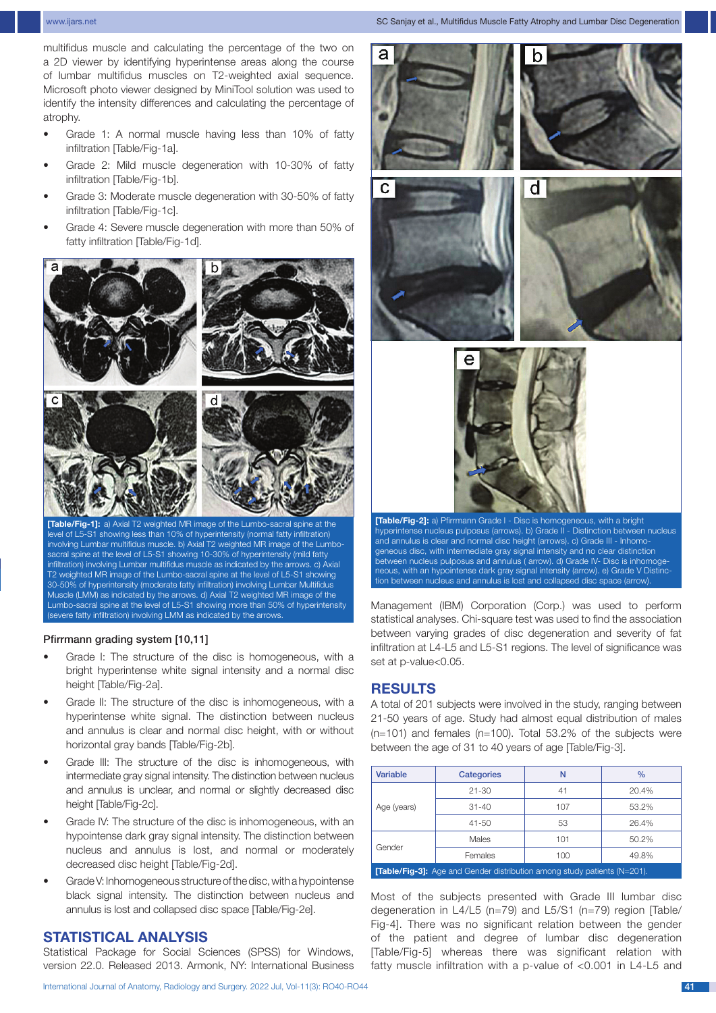www.ijars.net SC Sanjay et al., Multifidus Muscle Fatty Atrophy and Lumbar Disc Degeneration

multifidus muscle and calculating the percentage of the two on a 2D viewer by identifying hyperintense areas along the course of lumbar multifidus muscles on T2-weighted axial sequence. Microsoft photo viewer designed by MiniTool solution was used to identify the intensity differences and calculating the percentage of atrophy.

- Grade 1: A normal muscle having less than 10% of fatty infiltration [Table/Fig-1a].
- Grade 2: Mild muscle degeneration with 10-30% of fatty infiltration [Table/Fig-1b].
- Grade 3: Moderate muscle degeneration with 30-50% of fatty infiltration [Table/Fig-1c].
- Grade 4: Severe muscle degeneration with more than 50% of fatty infiltration [Table/Fig-1d].



**[Table/Fig-1]:** a) Axial T2 weighted MR image of the Lumbo-sacral spine at the level of L5-S1 showing less than 10% of hyperintensity (normal fatty infiltration) involving Lumbar multifidus muscle. b) Axial T2 weighted MR image of the Lumbosacral spine at the level of L5-S1 showing 10-30% of hyperintensity (mild fatty infiltration) involving Lumbar multifidus muscle as indicated by the arrows. c) Axial T2 weighted MR image of the Lumbo-sacral spine at the level of L5-S1 showing 30-50% of hyperintensity (moderate fatty infiltration) involving Lumbar Multifidus Muscle (LMM) as indicated by the arrows. d) Axial T2 weighted MR image of the Lumbo-sacral spine at the level of L5-S1 showing more than 50% of hyperintensity (severe fatty infiltration) involving LMM as indicated by the arrows.

#### Pfirrmann grading system [10,11]

- Grade I: The structure of the disc is homogeneous, with a bright hyperintense white signal intensity and a normal disc height [Table/Fig-2a].
- Grade II: The structure of the disc is inhomogeneous, with a hyperintense white signal. The distinction between nucleus and annulus is clear and normal disc height, with or without horizontal gray bands [Table/Fig-2b].
- Grade III: The structure of the disc is inhomogeneous, with intermediate gray signal intensity. The distinction between nucleus and annulus is unclear, and normal or slightly decreased disc height [Table/Fig-2c].
- Grade IV: The structure of the disc is inhomogeneous, with an hypointense dark gray signal intensity. The distinction between nucleus and annulus is lost, and normal or moderately decreased disc height [Table/Fig-2d].
- Grade V: Inhomogeneous structure of the disc, with a hypointense black signal intensity. The distinction between nucleus and annulus is lost and collapsed disc space [Table/Fig-2e].

## **STATISTICAL ANALYSIS**

Statistical Package for Social Sciences (SPSS) for Windows, version 22.0. Released 2013. Armonk, NY: International Business



and annulus is clear and normal disc height (arrows). c) Grade III - Inhomogeneous disc, with intermediate gray signal intensity and no clear distinction between nucleus pulposus and annulus ( arrow). d) Grade IV- Disc is inhomogeneous, with an hypointense dark gray signal intensity (arrow). e) Grade V Distinction between nucleus and annulus is lost and collapsed disc space (arrow).

Management (IBM) Corporation (Corp.) was used to perform statistical analyses. Chi-square test was used to find the association between varying grades of disc degeneration and severity of fat infiltration at L4-L5 and L5-S1 regions. The level of significance was set at p-value<0.05.

## **Results**

A total of 201 subjects were involved in the study, ranging between 21-50 years of age. Study had almost equal distribution of males  $(n=101)$  and females  $(n=100)$ . Total 53.2% of the subjects were between the age of 31 to 40 years of age [Table/Fig-3].

| <b>Variable</b>                                                                  | <b>Categories</b> | N   | $\frac{0}{0}$ |  |  |  |  |  |  |
|----------------------------------------------------------------------------------|-------------------|-----|---------------|--|--|--|--|--|--|
|                                                                                  | $21 - 30$         | 41  | 20.4%         |  |  |  |  |  |  |
| Age (years)                                                                      | $31 - 40$         | 107 | 53.2%         |  |  |  |  |  |  |
|                                                                                  | $41 - 50$         | 53  | 26.4%         |  |  |  |  |  |  |
|                                                                                  | Males             | 101 | 50.2%         |  |  |  |  |  |  |
| Gender                                                                           | Females           | 100 | 49.8%         |  |  |  |  |  |  |
| <b>ITable/Fin-31:</b> Ane and Gender distribution among study patients $(N-201)$ |                   |     |               |  |  |  |  |  |  |

**[Table/Fig-3]:** Age and Gender distribution among study patients (N=201)*.*

Most of the subjects presented with Grade III lumbar disc degeneration in L4/L5 (n=79) and L5/S1 (n=79) region [Table/ Fig-4]. There was no significant relation between the gender of the patient and degree of lumbar disc degeneration [Table/Fig-5] whereas there was significant relation with fatty muscle infiltration with a p-value of <0.001 in L4-L5 and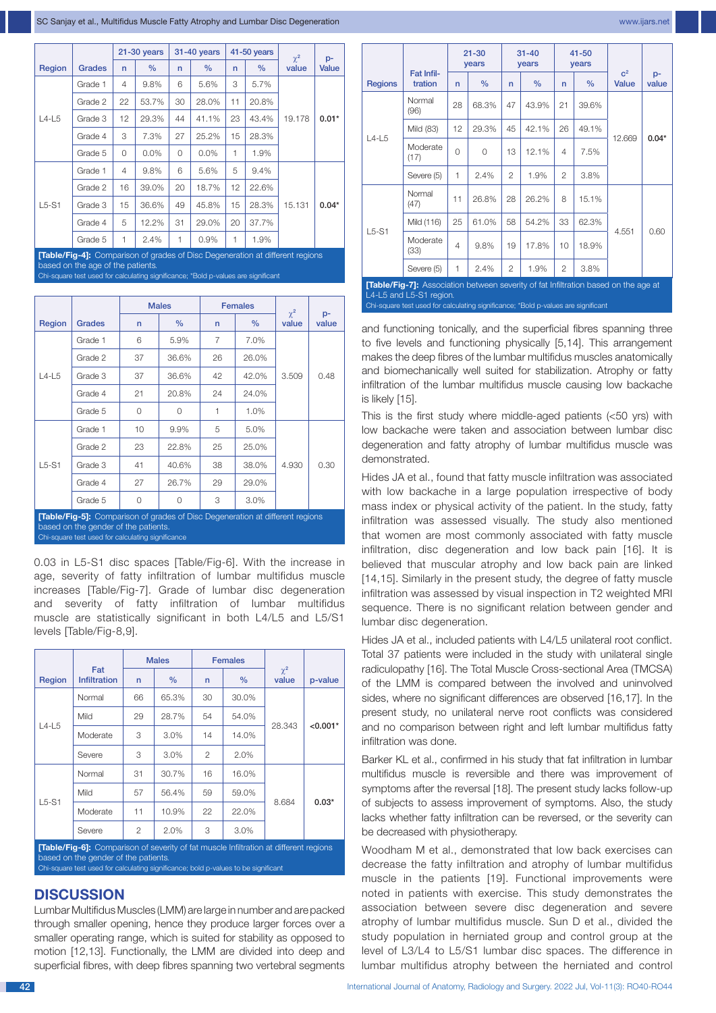|         |               | $21-30$ years  |               |    | 31-40 years | 41-50 years  | $\chi^2$ | $p-$   |         |
|---------|---------------|----------------|---------------|----|-------------|--------------|----------|--------|---------|
| Region  | <b>Grades</b> | n              | $\frac{0}{0}$ | n  | $\%$        | $\mathsf{r}$ | $\%$     | value  | Value   |
|         | Grade 1       | $\overline{4}$ | 9.8%          | 6  | 5.6%        | 3            | 5.7%     |        | $0.01*$ |
| $L4-L5$ | Grade 2       | 22             | 53.7%         | 30 | 28.0%       | 11           | 20.8%    |        |         |
|         | Grade 3       | 12             | 29.3%         | 44 | 41.1%       | 23           | 43.4%    | 19.178 |         |
|         | Grade 4       | 3              | 7.3%          | 27 | 25.2%       | 15           | 28.3%    |        |         |
|         | Grade 5       | 0              | $0.0\%$       | 0  | 0.0%        | 1            | 1.9%     |        |         |
|         | Grade 1       | $\overline{4}$ | 9.8%          | 6  | 5.6%        | 5            | 9.4%     |        |         |
|         | Grade 2       | 16             | 39.0%         | 20 | 18.7%       | 12           | 22.6%    |        |         |
| $L5-S1$ | Grade 3       | 15             | 36.6%         | 49 | 45.8%       | 15           | 28.3%    | 15.131 | $0.04*$ |
|         | Grade 4       | 5              | 12.2%         | 31 | 29.0%       | 20           | 37.7%    |        |         |
|         | Grade 5       | 1              | 2.4%          | 1  | 0.9%        | 1            | 1.9%     |        |         |

able/Fig-4]: Comparison of grades of Disc Degeneration at different regions ed on the age of the patients re test used for calculating significance; \*Bold p-values are signifi

|                                                                                                                                                                            |               | <b>Males</b> |               |    | <b>Females</b> | $\chi^2$ |               |  |  |
|----------------------------------------------------------------------------------------------------------------------------------------------------------------------------|---------------|--------------|---------------|----|----------------|----------|---------------|--|--|
| Region                                                                                                                                                                     | <b>Grades</b> | $\mathsf{n}$ | $\frac{9}{6}$ | n  | $\%$           | value    | $p-$<br>value |  |  |
|                                                                                                                                                                            | Grade 1       | 6            | 5.9%          | 7  | 7.0%           |          |               |  |  |
|                                                                                                                                                                            | Grade 2       | 37           | 36.6%         | 26 | 26.0%          |          |               |  |  |
| $L4-L5$                                                                                                                                                                    | Grade 3       | 37           | 36.6%         | 42 | 42.0%          | 3.509    | 0.48          |  |  |
|                                                                                                                                                                            | Grade 4       | 21           | 20.8%         | 24 | 24.0%          |          |               |  |  |
|                                                                                                                                                                            | Grade 5       | 0            | 1<br>$\Omega$ |    | 1.0%           |          |               |  |  |
|                                                                                                                                                                            | Grade 1       | 10           | 9.9%          | 5  | 5.0%           |          |               |  |  |
|                                                                                                                                                                            | Grade 2       | 23           | 22.8%         | 25 | 25.0%          |          |               |  |  |
| $L5-S1$                                                                                                                                                                    | Grade 3       | 41           | 40.6%         | 38 | 38.0%          | 4.930    | 0.30          |  |  |
|                                                                                                                                                                            | Grade 4       | 27           | 26.7%         | 29 | 29.0%          |          |               |  |  |
|                                                                                                                                                                            | Grade 5       | 0            | $\Omega$      | 3  | 3.0%           |          |               |  |  |
| [Table/Fig-5]: Comparison of grades of Disc Degeneration at different regions<br>based on the gender of the patients.<br>Chi-square test used for calculating significance |               |              |               |    |                |          |               |  |  |

0.03 in L5-S1 disc spaces [Table/Fig-6]. With the increase in age, severity of fatty infiltration of lumbar multifidus muscle increases [Table/Fig-7]. Grade of lumbar disc degeneration and severity of fatty infiltration of lumbar multifidus muscle are statistically significant in both L4/L5 and L5/S1 levels [Table/Fig-8,9].

|         |                                                                                              |    | <b>Males</b> |              | <b>Females</b> |                   |            |
|---------|----------------------------------------------------------------------------------------------|----|--------------|--------------|----------------|-------------------|------------|
| Region  | Fat<br><b>Infiltration</b>                                                                   | n  | $\%$         | $\mathsf{n}$ | $\%$           | $\chi^2$<br>value | p-value    |
| $L4-L5$ | Normal                                                                                       | 66 | 65.3%        | 30           | 30.0%          |                   |            |
|         | Mild                                                                                         | 29 | 28.7%        | 54           | 54.0%          |                   |            |
|         | Moderate                                                                                     | 3  | 3.0%         | 14           | 14.0%          | 28.343            | $< 0.001*$ |
|         | Severe                                                                                       | 3  | 3.0%         | $\mathbf{2}$ | 2.0%           |                   |            |
|         | Normal                                                                                       | 31 | 30.7%        | 16           | 16.0%          |                   |            |
|         | Mild                                                                                         | 57 | 56.4%        | 59           | 59.0%          |                   |            |
| $L5-S1$ | Moderate                                                                                     | 11 | 10.9%        | 22           | 22.0%          | 8.684             | $0.03*$    |
|         | 2<br>Severe                                                                                  |    | 2.0%         | 3            | 3.0%           |                   |            |
|         | <b>[Table/Fig-6]:</b> Comparison of severity of fat muscle Infiltration at different regions |    |              |              |                |                   |            |

based on the gender of the patients*.* square test used for calculating significance; bold p-values to be significant

# **Discussion**

Lumbar Multifidus Muscles (LMM) are large in number and are packed through smaller opening, hence they produce larger forces over a smaller operating range, which is suited for stability as opposed to motion [12,13]. Functionally, the LMM are divided into deep and superficial fibres, with deep fibres spanning two vertebral segments

|                |                                                                                            | $21 - 30$<br>years |          |                | $31 - 40$<br>years |    | $41 - 50$<br>years |                                |             |  |
|----------------|--------------------------------------------------------------------------------------------|--------------------|----------|----------------|--------------------|----|--------------------|--------------------------------|-------------|--|
| <b>Regions</b> | Fat Infil-<br>tration                                                                      | n                  | $\%$     | $\mathsf{n}$   | $\%$               | n  | $\%$               | c <sup>2</sup><br><b>Value</b> | p-<br>value |  |
| $L4-L5$        | Normal<br>(96)                                                                             | 28                 | 68.3%    | 47             | 43.9%              | 21 | 39.6%              |                                |             |  |
|                | Mild (83)                                                                                  | 12                 | 29.3%    | 45             | 42.1%              | 26 | 49.1%              | 12.669                         | $0.04*$     |  |
|                | Moderate<br>(17)                                                                           | $\Omega$           | $\Omega$ | 13             | 12.1%              | 4  | 7.5%               |                                |             |  |
|                | Severe (5)                                                                                 | 1                  | 2.4%     | $\overline{2}$ | 1.9%               | 2  | 3.8%               |                                |             |  |
|                | Normal<br>(47)                                                                             | 11                 | 26.8%    | 28             | 26.2%              | 8  | 15.1%              |                                |             |  |
|                | Mild (116)                                                                                 | 25                 | 61.0%    | 58             | 54.2%              | 33 | 62.3%              | 4.551                          |             |  |
| $L5-S1$        | Moderate<br>(33)                                                                           | $\overline{4}$     | 9.8%     | 19             | 17.8%              | 10 | 18.9%              |                                | 0.60        |  |
|                | Severe (5)                                                                                 | 1                  | 2.4%     | $\overline{2}$ | 1.9%               | 2  | 3.8%               |                                |             |  |
|                | <b>[Table/Fig-7]:</b> Association between severity of fat Infiltration based on the age at |                    |          |                |                    |    |                    |                                |             |  |

L4-L5 and L5-S1 region*.* Chi-square test used for calculating significance; \*Bold p-values are significant

and functioning tonically, and the superficial fibres spanning three to five levels and functioning physically [5,14]. This arrangement makes the deep fibres of the lumbar multifidus muscles anatomically and biomechanically well suited for stabilization. Atrophy or fatty infiltration of the lumbar multifidus muscle causing low backache is likely [15].

This is the first study where middle-aged patients (<50 yrs) with low backache were taken and association between lumbar disc degeneration and fatty atrophy of lumbar multifidus muscle was demonstrated.

Hides JA et al., found that fatty muscle infiltration was associated with low backache in a large population irrespective of body mass index or physical activity of the patient. In the study, fatty infiltration was assessed visually. The study also mentioned that women are most commonly associated with fatty muscle infiltration, disc degeneration and low back pain [16]. It is believed that muscular atrophy and low back pain are linked [14,15]. Similarly in the present study, the degree of fatty muscle infiltration was assessed by visual inspection in T2 weighted MRI sequence. There is no significant relation between gender and lumbar disc degeneration.

Hides JA et al., included patients with L4/L5 unilateral root conflict. Total 37 patients were included in the study with unilateral single radiculopathy [16]. The Total Muscle Cross-sectional Area (TMCSA) of the LMM is compared between the involved and uninvolved sides, where no significant differences are observed [16,17]. In the present study, no unilateral nerve root conflicts was considered and no comparison between right and left lumbar multifidus fatty infiltration was done.

Barker KL et al., confirmed in his study that fat infiltration in lumbar multifidus muscle is reversible and there was improvement of symptoms after the reversal [18]. The present study lacks follow-up of subjects to assess improvement of symptoms. Also, the study lacks whether fatty infiltration can be reversed, or the severity can be decreased with physiotherapy.

Woodham M et al., demonstrated that low back exercises can decrease the fatty infiltration and atrophy of lumbar multifidus muscle in the patients [19]. Functional improvements were noted in patients with exercise. This study demonstrates the association between severe disc degeneration and severe atrophy of lumbar multifidus muscle. Sun D et al., divided the study population in herniated group and control group at the level of L3/L4 to L5/S1 lumbar disc spaces. The difference in lumbar multifidus atrophy between the herniated and control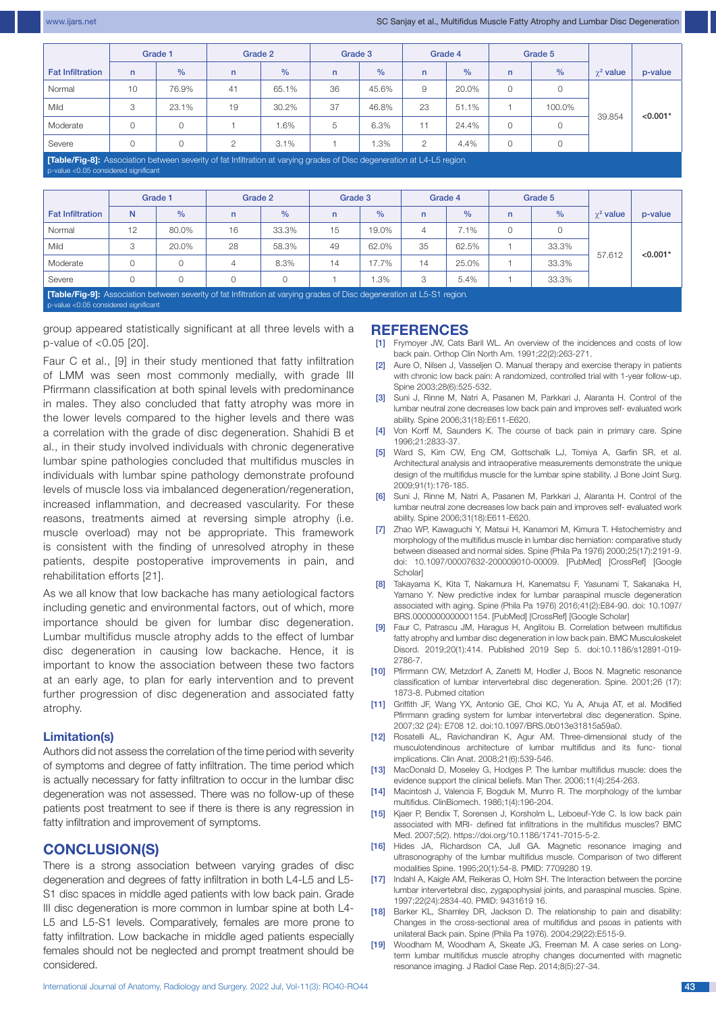|                                                                                                                         | Grade 1  |       | Grade 2 |         | Grade 3 |               | Grade 4        |               | Grade 5      |        |                  |            |
|-------------------------------------------------------------------------------------------------------------------------|----------|-------|---------|---------|---------|---------------|----------------|---------------|--------------|--------|------------------|------------|
| <b>Fat Infiltration</b>                                                                                                 | n        | $\%$  | n       | $\%$    | n       | $\frac{0}{0}$ | n              | $\frac{0}{0}$ | $\mathsf{n}$ | $\%$   | $\gamma^2$ value | p-value    |
| Normal                                                                                                                  | 10       | 76.9% | 41      | 65.1%   | 36      | 45.6%         | 9              | 20.0%         | $\Omega$     |        |                  |            |
| Mild                                                                                                                    | 3        | 23.1% | 19      | 30.2%   | 37      | 46.8%         | 23             | 51.1%         |              | 100.0% |                  |            |
| Moderate                                                                                                                | $\Omega$ |       |         | $1.6\%$ | 5       | 6.3%          | 11             | 24.4%         | $\Omega$     |        | 39.854           | $< 0.001*$ |
| Severe                                                                                                                  | $\Omega$ |       | ◠       | 3.1%    |         | $.3\%$        | $\mathfrak{p}$ | 4.4%          | $\Omega$     |        |                  |            |
| [Table/Fig-8]: Association between severity of fat Infiltration at varying grades of Disc degeneration at L4-L5 region. |          |       |         |         |         |               |                |               |              |        |                  |            |

alue <0.05 considered significar

|                         |                                                                                                                                                                        | Grade 1 | Grade 2      |               | Grade 3      |               | Grade 4      |               | Grade 5      |               |                  |            |
|-------------------------|------------------------------------------------------------------------------------------------------------------------------------------------------------------------|---------|--------------|---------------|--------------|---------------|--------------|---------------|--------------|---------------|------------------|------------|
| <b>Fat Infiltration</b> | N                                                                                                                                                                      | $\%$    | $\mathsf{n}$ | $\frac{0}{0}$ | $\mathsf{n}$ | $\frac{9}{6}$ | $\mathsf{n}$ | $\frac{0}{0}$ | $\mathsf{n}$ | $\frac{9}{6}$ | $\gamma^2$ value | p-value    |
| Normal                  | 12                                                                                                                                                                     | 80.0%   | 16           | 33.3%         | 15           | 19.0%         | 4            | 7.1%          | $\Omega$     |               |                  |            |
| Mild                    | 3                                                                                                                                                                      | 20.0%   | 28           | 58.3%         | 49           | 62.0%         | 35           | 62.5%         |              | 33.3%         | 57.612           | $< 0.001*$ |
| Moderate                | 0                                                                                                                                                                      | 0       | 4            | 8.3%          | 14           | 17.7%         | 14           | 25.0%         |              | 33.3%         |                  |            |
| Severe                  | Ω                                                                                                                                                                      |         |              |               |              | .3%           | 3            | 5.4%          |              | 33.3%         |                  |            |
|                         | <b>[Table/Fig-9]:</b> Association between severity of fat Infiltration at varying grades of Disc degeneration at L5-S1 region.<br>p-value <0.05 considered significant |         |              |               |              |               |              |               |              |               |                  |            |

group appeared statistically significant at all three levels with a p-value of <0.05 [20].

Faur C et al., [9] in their study mentioned that fatty infiltration of LMM was seen most commonly medially, with grade III Pfirrmann classification at both spinal levels with predominance in males. They also concluded that fatty atrophy was more in the lower levels compared to the higher levels and there was a correlation with the grade of disc degeneration. Shahidi B et al., in their study involved individuals with chronic degenerative lumbar spine pathologies concluded that multifidus muscles in individuals with lumbar spine pathology demonstrate profound levels of muscle loss via imbalanced degeneration/regeneration, increased inflammation, and decreased vascularity. For these reasons, treatments aimed at reversing simple atrophy (i.e. muscle overload) may not be appropriate. This framework is consistent with the finding of unresolved atrophy in these patients, despite postoperative improvements in pain, and rehabilitation efforts [21].

As we all know that low backache has many aetiological factors including genetic and environmental factors, out of which, more importance should be given for lumbar disc degeneration. Lumbar multifidus muscle atrophy adds to the effect of lumbar disc degeneration in causing low backache. Hence, it is important to know the association between these two factors at an early age, to plan for early intervention and to prevent further progression of disc degeneration and associated fatty atrophy.

#### **Limitation(s)**

Authors did not assess the correlation of the time period with severity of symptoms and degree of fatty infiltration. The time period which is actually necessary for fatty infiltration to occur in the lumbar disc degeneration was not assessed. There was no follow-up of these patients post treatment to see if there is there is any regression in fatty infiltration and improvement of symptoms.

# **Conclusion(S)**

There is a strong association between varying grades of disc degeneration and degrees of fatty infiltration in both L4-L5 and L5- S1 disc spaces in middle aged patients with low back pain. Grade III disc degeneration is more common in lumbar spine at both L4-L5 and L5-S1 levels. Comparatively, females are more prone to fatty infiltration. Low backache in middle aged patients especially females should not be neglected and prompt treatment should be considered.

#### **References**

- Frymoyer JW, Cats Baril WL. An overview of the incidences and costs of low back pain. Orthop Clin North Am. 1991;22(2):263-271.
- [2] Aure O, Nilsen J, Vasseljen O. Manual therapy and exercise therapy in patients with chronic low back pain: A randomized, controlled trial with 1-year follow-up. Spine 2003;28(6):525-532.
- [3] Suni J, Rinne M, Natri A, Pasanen M, Parkkari J, Alaranta H. Control of the lumbar neutral zone decreases low back pain and improves self- evaluated work ability. Spine 2006;31(18):E611-E620.
- [4] Von Korff M, Saunders K. The course of back pain in primary care. Spine 1996;21:2833-37.
- [5] Ward S, Kim CW, Eng CM, Gottschalk LJ, Tomiya A, Garfin SR, et al. Architectural analysis and intraoperative measurements demonstrate the unique design of the multifidus muscle for the lumbar spine stability. J Bone Joint Surg. 2009;91(1):176-185.
- [6] Suni J, Rinne M, Natri A, Pasanen M, Parkkari J, Alaranta H. Control of the lumbar neutral zone decreases low back pain and improves self- evaluated work ability. Spine 2006;31(18):E611-E620.
- [7] Zhao WP, Kawaguchi Y, Matsui H, Kanamori M, Kimura T. Histochemistry and morphology of the multifidus muscle in lumbar disc herniation: comparative study between diseased and normal sides. Spine (Phila Pa 1976) 2000;25(17):2191-9. doi: 10.1097/00007632-200009010-00009. [PubMed] [CrossRef] [Google **Scholarl**
- [8] Takayama K, Kita T, Nakamura H, Kanematsu F, Yasunami T, Sakanaka H, Yamano Y. New predictive index for lumbar paraspinal muscle degeneration associated with aging. Spine (Phila Pa 1976) 2016;41(2):E84-90. doi: 10.1097/ BRS.0000000000001154. [PubMed] [CrossRef] [Google Scholar]
- Faur C, Patrascu JM, Haragus H, Anglitoiu B. Correlation between multifidus fatty atrophy and lumbar disc degeneration in low back pain. BMC Musculoskelet Disord. 2019;20(1):414. Published 2019 Sep 5. doi:10.1186/s12891-019- 2786-7.
- [10] Pfirrmann CW, Metzdorf A, Zanetti M, Hodler J, Boos N. Magnetic resonance classification of lumbar intervertebral disc degeneration. Spine. 2001;26 (17): 1873-8. Pubmed citation
- [11] Griffith JF, Wang YX, Antonio GE, Choi KC, Yu A, Ahuja AT, et al. Modified Pfirrmann grading system for lumbar intervertebral disc degeneration. Spine. 2007;32 (24): E708 12. doi:10.1097/BRS.0b013e31815a59a0.
- [12] Rosatelli AL, Ravichandiran K, Agur AM, Three-dimensional study of the musculotendinous architecture of lumbar multifidus and its func- tional implications. Clin Anat. 2008;21(6):539-546.
- [13] MacDonald D, Moseley G, Hodges P. The lumbar multifidus muscle: does the evidence support the clinical beliefs. Man Ther. 2006;11(4):254-263.
- [14] Macintosh J, Valencia F, Bogduk M, Munro R. The morphology of the lumbar multifidus. ClinBiomech. 1986;1(4):196-204.
- [15] Kjaer P, Bendix T, Sorensen J, Korsholm L, Leboeuf-Yde C. Is low back pain associated with MRI- defined fat infiltrations in the multifidus muscles? BMC Med. 2007;5(2). https://doi.org/10.1186/1741-7015-5-2.
- [16] Hides JA, Richardson CA, Jull GA. Magnetic resonance imaging and ultrasonography of the lumbar multifidus muscle. Comparison of two different modalities Spine. 1995;20(1):54-8. PMID: 7709280 19.
- [17] Indahl A, Kaigle AM, Reikeras O, Holm SH. The Interaction between the porcine lumbar intervertebral disc, zygapophysial joints, and paraspinal muscles. Spine. 1997;22(24):2834-40. PMID: 9431619 16.
- [18] Barker KL, Shamley DR, Jackson D. The relationship to pain and disability: Changes in the cross-sectional area of multifidus and psoas in patients with unilateral Back pain. Spine (Phila Pa 1976). 2004;29(22):E515-9.
- [19] Woodham M, Woodham A, Skeate JG, Freeman M. A case series on Longterm lumbar multifidus muscle atrophy changes documented with magnetic resonance imaging. J Radiol Case Rep. 2014;8(5):27-34.